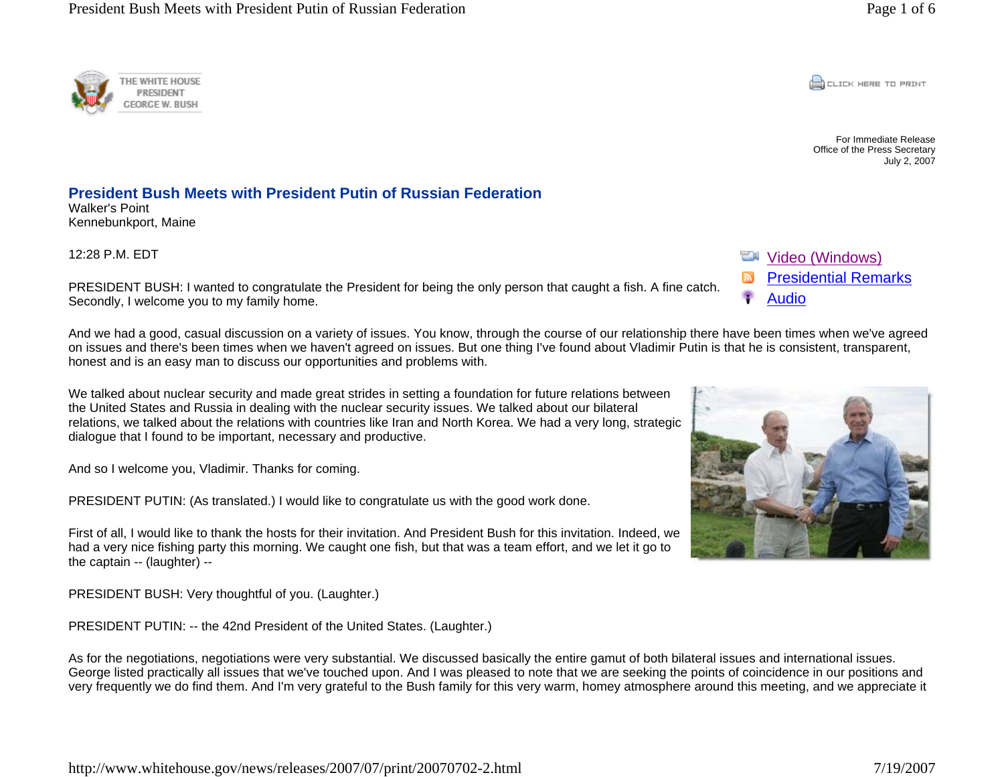**CONCRETE PRINT** 

For Immediate Release Office of the Press Secretary July 2, 2007

**President Bush Meets with President Putin of Russian Federation** Walker's Point Kennebunkport, Maine

12:28 P.M. EDT

THE WHITE HOUSE

**PRESIDENT FORGE W. BUSH** 



PRESIDENT BUSH: I wanted to congratulate the President for being the only person that caught a fish. A fine catch. Secondly, I welcome you to my family home.

And we had a good, casual discussion on a variety of issues. You know, through the course of our relationship there have been times when we've agreed on issues and there's been times when we haven't agreed on issues. But one thing I've found about Vladimir Putin is that he is consistent, transparent, honest and is an easy man to discuss our opportunities and problems with.

We talked about nuclear security and made great strides in setting a foundation for future relations between the United States and Russia in dealing with the nuclear security issues. We talked about our bilateral relations, we talked about the relations with countries like Iran and North Korea. We had a very long, strategic dialogue that I found to be important, necessary and productive.

And so I welcome you, Vladimir. Thanks for coming.

PRESIDENT PUTIN: (As translated.) I would like to congratulate us with the good work done.

First of all, I would like to thank the hosts for their invitation. And President Bush for this invitation. Indeed, we had a very nice fishing party this morning. We caught one fish, but that was a team effort, and we let it go to the captain -- (laughter) --

PRESIDENT BUSH: Very thoughtful of you. (Laughter.)

PRESIDENT PUTIN: -- the 42nd President of the United States. (Laughter.)

As for the negotiations, negotiations were very substantial. We discussed basically the entire gamut of both bilateral issues and international issues. George listed practically all issues that we've touched upon. And I was pleased to note that we are seeking the points of coincidence in our positions and very frequently we do find them. And I'm very grateful to the Bush family for this very warm, homey atmosphere around this meeting, and we appreciate it

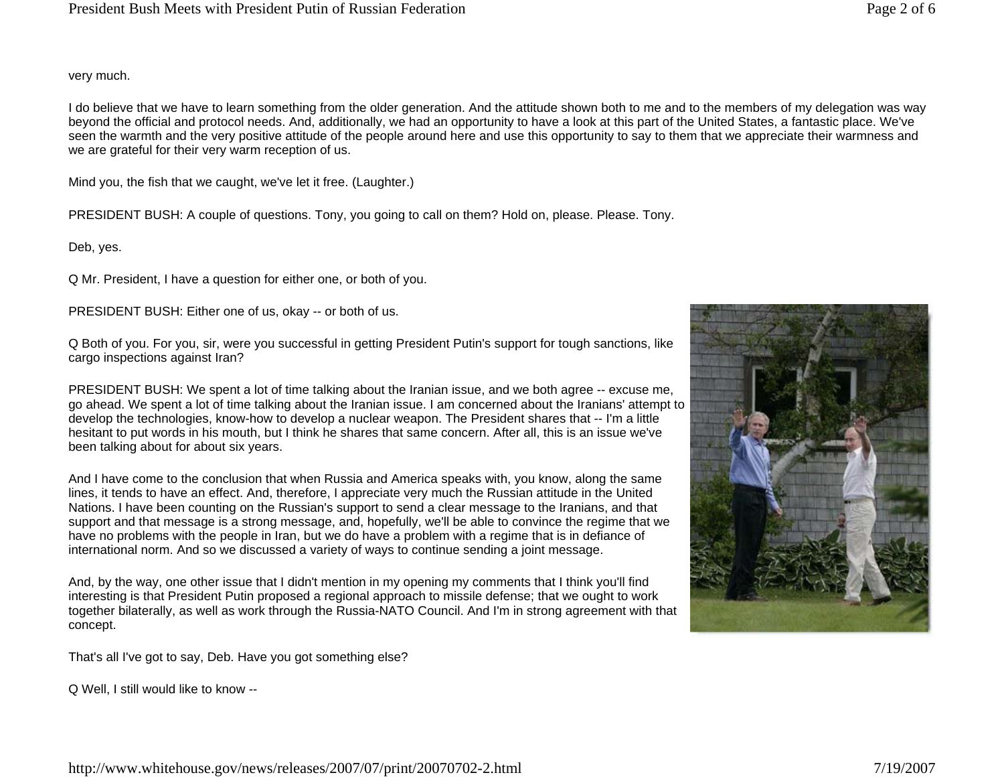## very much.

I do believe that we have to learn something from the older generation. And the attitude shown both to me and to the members of my delegation was way beyond the official and protocol needs. And, additionally, we had an opportunity to have a look at this part of the United States, a fantastic place. We've seen the warmth and the very positive attitude of the people around here and use this opportunity to say to them that we appreciate their warmness and we are grateful for their very warm reception of us.

Mind you, the fish that we caught, we've let it free. (Laughter.)

PRESIDENT BUSH: A couple of questions. Tony, you going to call on them? Hold on, please. Please. Tony.

Deb, yes.

Q Mr. President, I have a question for either one, or both of you.

PRESIDENT BUSH: Either one of us, okay -- or both of us.

Q Both of you. For you, sir, were you successful in getting President Putin's support for tough sanctions, like cargo inspections against Iran?

PRESIDENT BUSH: We spent a lot of time talking about the Iranian issue, and we both agree -- excuse me, go ahead. We spent a lot of time talking about the Iranian issue. I am concerned about the Iranians' attempt to develop the technologies, know-how to develop a nuclear weapon. The President shares that -- I'm a little hesitant to put words in his mouth, but I think he shares that same concern. After all, this is an issue we've been talking about for about six years.

And I have come to the conclusion that when Russia and America speaks with, you know, along the same lines, it tends to have an effect. And, therefore, I appreciate very much the Russian attitude in the United Nations. I have been counting on the Russian's support to send a clear message to the Iranians, and that support and that message is a strong message, and, hopefully, we'll be able to convince the regime that we have no problems with the people in Iran, but we do have a problem with a regime that is in defiance of international norm. And so we discussed a variety of ways to continue sending a joint message.

And, by the way, one other issue that I didn't mention in my opening my comments that I think you'll find interesting is that President Putin proposed a regional approach to missile defense; that we ought to work together bilaterally, as well as work through the Russia-NATO Council. And I'm in strong agreement with that concept.

That's all I've got to say, Deb. Have you got something else?

Q Well, I still would like to know --



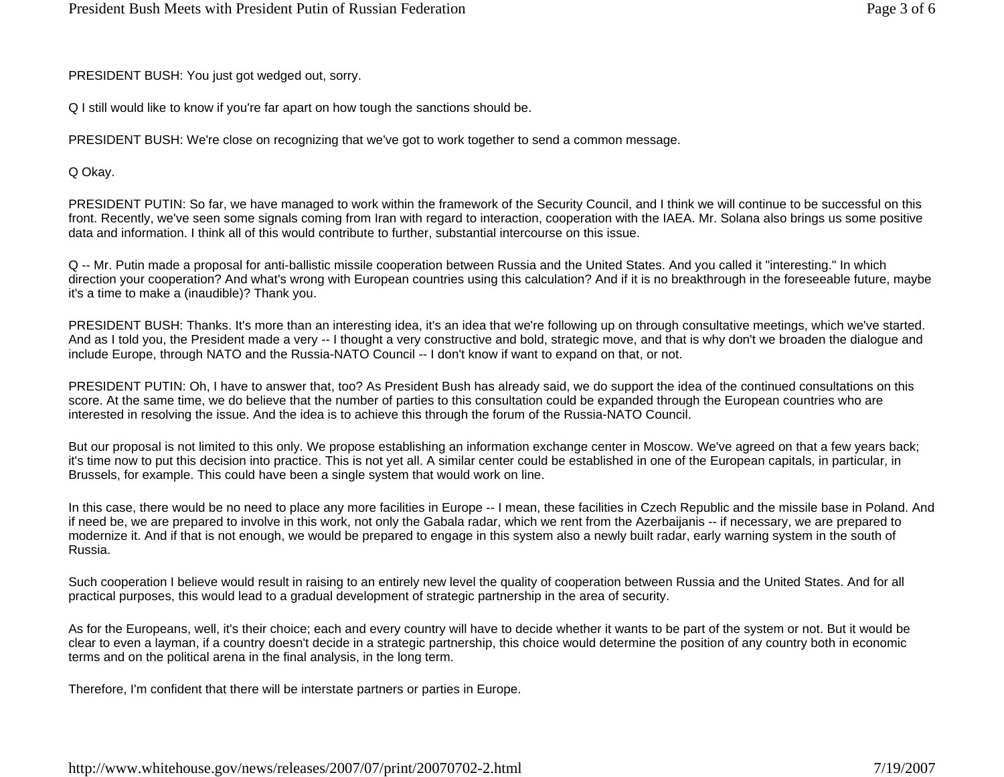PRESIDENT BUSH: You just got wedged out, sorry.

Q I still would like to know if you're far apart on how tough the sanctions should be.

PRESIDENT BUSH: We're close on recognizing that we've got to work together to send a common message.

Q Okay.

PRESIDENT PUTIN: So far, we have managed to work within the framework of the Security Council, and I think we will continue to be successful on this front. Recently, we've seen some signals coming from Iran with regard to interaction, cooperation with the IAEA. Mr. Solana also brings us some positive data and information. I think all of this would contribute to further, substantial intercourse on this issue.

Q -- Mr. Putin made a proposal for anti-ballistic missile cooperation between Russia and the United States. And you called it "interesting." In which direction your cooperation? And what's wrong with European countries using this calculation? And if it is no breakthrough in the foreseeable future, maybe it's a time to make a (inaudible)? Thank you.

PRESIDENT BUSH: Thanks. It's more than an interesting idea, it's an idea that we're following up on through consultative meetings, which we've started. And as I told you, the President made a very -- I thought a very constructive and bold, strategic move, and that is why don't we broaden the dialogue and include Europe, through NATO and the Russia-NATO Council -- I don't know if want to expand on that, or not.

PRESIDENT PUTIN: Oh, I have to answer that, too? As President Bush has already said, we do support the idea of the continued consultations on this score. At the same time, we do believe that the number of parties to this consultation could be expanded through the European countries who are interested in resolving the issue. And the idea is to achieve this through the forum of the Russia-NATO Council.

But our proposal is not limited to this only. We propose establishing an information exchange center in Moscow. We've agreed on that a few years back; it's time now to put this decision into practice. This is not yet all. A similar center could be established in one of the European capitals, in particular, in Brussels, for example. This could have been a single system that would work on line.

In this case, there would be no need to place any more facilities in Europe -- I mean, these facilities in Czech Republic and the missile base in Poland. And if need be, we are prepared to involve in this work, not only the Gabala radar, which we rent from the Azerbaijanis -- if necessary, we are prepared to modernize it. And if that is not enough, we would be prepared to engage in this system also a newly built radar, early warning system in the south of Russia.

Such cooperation I believe would result in raising to an entirely new level the quality of cooperation between Russia and the United States. And for all practical purposes, this would lead to a gradual development of strategic partnership in the area of security.

As for the Europeans, well, it's their choice; each and every country will have to decide whether it wants to be part of the system or not. But it would be clear to even a layman, if a country doesn't decide in a strategic partnership, this choice would determine the position of any country both in economic terms and on the political arena in the final analysis, in the long term.

Therefore, I'm confident that there will be interstate partners or parties in Europe.

http://www.whitehouse.gov/news/releases/2007/07/print/20070702-2.html 7/19/2007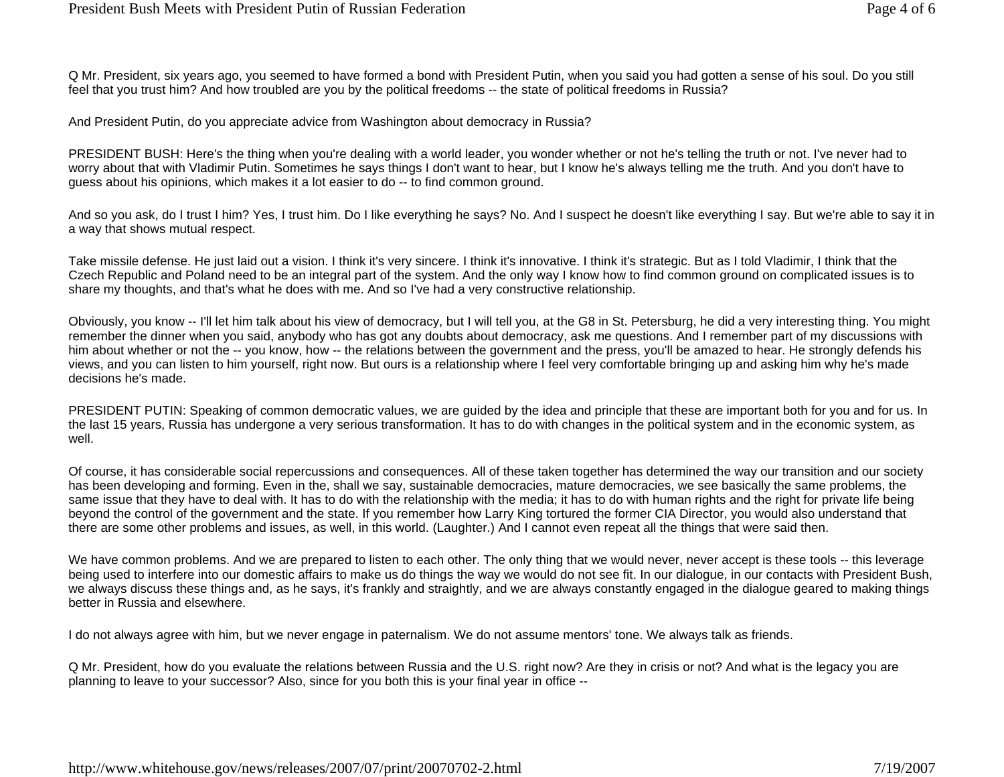Q Mr. President, six years ago, you seemed to have formed a bond with President Putin, when you said you had gotten a sense of his soul. Do you still feel that you trust him? And how troubled are you by the political freedoms -- the state of political freedoms in Russia?

And President Putin, do you appreciate advice from Washington about democracy in Russia?

PRESIDENT BUSH: Here's the thing when you're dealing with a world leader, you wonder whether or not he's telling the truth or not. I've never had to worry about that with Vladimir Putin. Sometimes he says things I don't want to hear, but I know he's always telling me the truth. And you don't have to guess about his opinions, which makes it a lot easier to do -- to find common ground.

And so you ask, do I trust I him? Yes, I trust him. Do I like everything he says? No. And I suspect he doesn't like everything I say. But we're able to say it in a way that shows mutual respect.

Take missile defense. He just laid out a vision. I think it's very sincere. I think it's innovative. I think it's strategic. But as I told Vladimir, I think that the Czech Republic and Poland need to be an integral part of the system. And the only way I know how to find common ground on complicated issues is to share my thoughts, and that's what he does with me. And so I've had a very constructive relationship.

Obviously, you know -- I'll let him talk about his view of democracy, but I will tell you, at the G8 in St. Petersburg, he did a very interesting thing. You might remember the dinner when you said, anybody who has got any doubts about democracy, ask me questions. And I remember part of my discussions with him about whether or not the -- you know, how -- the relations between the government and the press, you'll be amazed to hear. He strongly defends his views, and you can listen to him yourself, right now. But ours is a relationship where I feel very comfortable bringing up and asking him why he's made decisions he's made.

PRESIDENT PUTIN: Speaking of common democratic values, we are guided by the idea and principle that these are important both for you and for us. In the last 15 years, Russia has undergone a very serious transformation. It has to do with changes in the political system and in the economic system, as well.

Of course, it has considerable social repercussions and consequences. All of these taken together has determined the way our transition and our society has been developing and forming. Even in the, shall we say, sustainable democracies, mature democracies, we see basically the same problems, the same issue that they have to deal with. It has to do with the relationship with the media; it has to do with human rights and the right for private life being beyond the control of the government and the state. If you remember how Larry King tortured the former CIA Director, you would also understand that there are some other problems and issues, as well, in this world. (Laughter.) And I cannot even repeat all the things that were said then.

We have common problems. And we are prepared to listen to each other. The only thing that we would never, never accept is these tools -- this leverage being used to interfere into our domestic affairs to make us do things the way we would do not see fit. In our dialogue, in our contacts with President Bush, we always discuss these things and, as he says, it's frankly and straightly, and we are always constantly engaged in the dialogue geared to making things better in Russia and elsewhere.

I do not always agree with him, but we never engage in paternalism. We do not assume mentors' tone. We always talk as friends.

Q Mr. President, how do you evaluate the relations between Russia and the U.S. right now? Are they in crisis or not? And what is the legacy you are planning to leave to your successor? Also, since for you both this is your final year in office --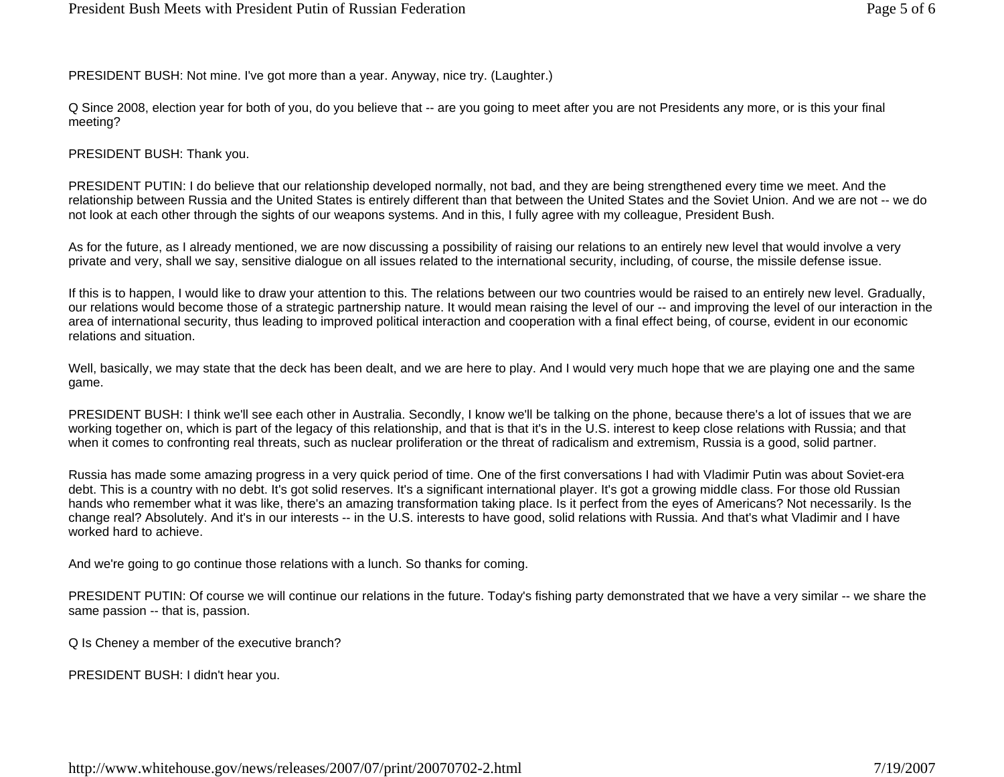PRESIDENT BUSH: Not mine. I've got more than a year. Anyway, nice try. (Laughter.)

Q Since 2008, election year for both of you, do you believe that -- are you going to meet after you are not Presidents any more, or is this your final meeting?

PRESIDENT BUSH: Thank you.

PRESIDENT PUTIN: I do believe that our relationship developed normally, not bad, and they are being strengthened every time we meet. And the relationship between Russia and the United States is entirely different than that between the United States and the Soviet Union. And we are not -- we do not look at each other through the sights of our weapons systems. And in this, I fully agree with my colleague, President Bush.

As for the future, as I already mentioned, we are now discussing a possibility of raising our relations to an entirely new level that would involve a very private and very, shall we say, sensitive dialogue on all issues related to the international security, including, of course, the missile defense issue.

If this is to happen, I would like to draw your attention to this. The relations between our two countries would be raised to an entirely new level. Gradually, our relations would become those of a strategic partnership nature. It would mean raising the level of our -- and improving the level of our interaction in the area of international security, thus leading to improved political interaction and cooperation with a final effect being, of course, evident in our economic relations and situation.

Well, basically, we may state that the deck has been dealt, and we are here to play. And I would very much hope that we are playing one and the same game.

PRESIDENT BUSH: I think we'll see each other in Australia. Secondly, I know we'll be talking on the phone, because there's a lot of issues that we are working together on, which is part of the legacy of this relationship, and that is that it's in the U.S. interest to keep close relations with Russia; and that when it comes to confronting real threats, such as nuclear proliferation or the threat of radicalism and extremism, Russia is a good, solid partner.

Russia has made some amazing progress in a very quick period of time. One of the first conversations I had with Vladimir Putin was about Soviet-era debt. This is a country with no debt. It's got solid reserves. It's a significant international player. It's got a growing middle class. For those old Russian hands who remember what it was like, there's an amazing transformation taking place. Is it perfect from the eyes of Americans? Not necessarily. Is the change real? Absolutely. And it's in our interests -- in the U.S. interests to have good, solid relations with Russia. And that's what Vladimir and I have worked hard to achieve.

And we're going to go continue those relations with a lunch. So thanks for coming.

PRESIDENT PUTIN: Of course we will continue our relations in the future. Today's fishing party demonstrated that we have a very similar -- we share the same passion -- that is, passion.

Q Is Cheney a member of the executive branch?

PRESIDENT BUSH: I didn't hear you.

http://www.whitehouse.gov/news/releases/2007/07/print/20070702-2.html 7/19/2007